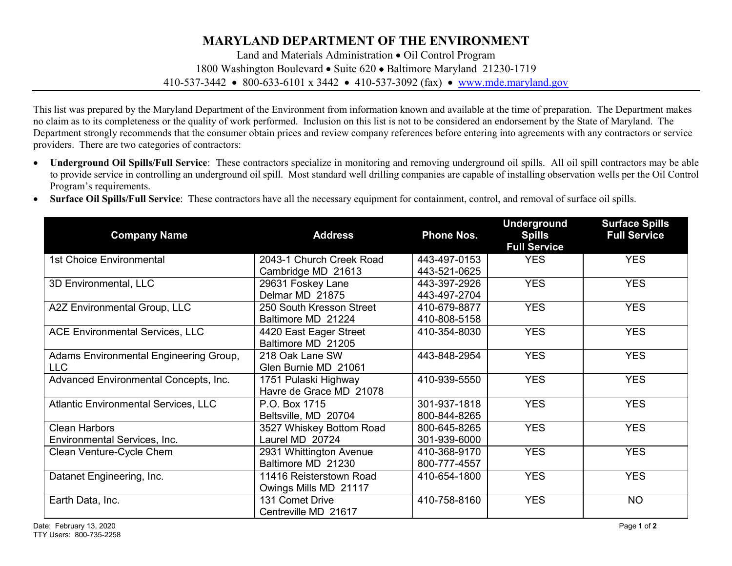## **MARYLAND DEPARTMENT OF THE ENVIRONMENT**

Land and Materials Administration • Oil Control Program 1800 Washington Boulevard • Suite 620 • Baltimore Maryland 21230-1719 410-537-3442 • 800-633-6101 x 3442 • 410-537-3092 (fax) • [www.mde.maryland.gov](http://www.mde.maryland.gov/)

This list was prepared by the Maryland Department of the Environment from information known and available at the time of preparation. The Department makes no claim as to its completeness or the quality of work performed. Inclusion on this list is not to be considered an endorsement by the State of Maryland. The Department strongly recommends that the consumer obtain prices and review company references before entering into agreements with any contractors or service providers. There are two categories of contractors:

- **Underground Oil Spills/Full Service**: These contractors specialize in monitoring and removing underground oil spills. All oil spill contractors may be able to provide service in controlling an underground oil spill. Most standard well drilling companies are capable of installing observation wells per the Oil Control Program's requirements.
- **Surface Oil Spills/Full Service**: These contractors have all the necessary equipment for containment, control, and removal of surface oil spills.

| <b>Company Name</b>                         | <b>Address</b>           | <b>Phone Nos.</b> | <b>Underground</b><br><b>Spills</b><br><b>Full Service</b> | <b>Surface Spills</b><br><b>Full Service</b> |
|---------------------------------------------|--------------------------|-------------------|------------------------------------------------------------|----------------------------------------------|
| <b>1st Choice Environmental</b>             | 2043-1 Church Creek Road | 443-497-0153      | <b>YES</b>                                                 | <b>YES</b>                                   |
|                                             | Cambridge MD 21613       | 443-521-0625      |                                                            |                                              |
| 3D Environmental, LLC                       | 29631 Foskey Lane        | 443-397-2926      | <b>YES</b>                                                 | <b>YES</b>                                   |
|                                             | Delmar MD 21875          | 443-497-2704      |                                                            |                                              |
| A2Z Environmental Group, LLC                | 250 South Kresson Street | 410-679-8877      | <b>YES</b>                                                 | <b>YES</b>                                   |
|                                             | Baltimore MD 21224       | 410-808-5158      |                                                            |                                              |
| <b>ACE Environmental Services, LLC</b>      | 4420 East Eager Street   | 410-354-8030      | <b>YES</b>                                                 | <b>YES</b>                                   |
|                                             | Baltimore MD 21205       |                   |                                                            |                                              |
| Adams Environmental Engineering Group,      | 218 Oak Lane SW          | 443-848-2954      | <b>YES</b>                                                 | <b>YES</b>                                   |
| <b>LLC</b>                                  | Glen Burnie MD 21061     |                   |                                                            |                                              |
| Advanced Environmental Concepts, Inc.       | 1751 Pulaski Highway     | 410-939-5550      | <b>YES</b>                                                 | <b>YES</b>                                   |
|                                             | Havre de Grace MD 21078  |                   |                                                            |                                              |
| <b>Atlantic Environmental Services, LLC</b> | P.O. Box 1715            | 301-937-1818      | <b>YES</b>                                                 | <b>YES</b>                                   |
|                                             | Beltsville, MD 20704     | 800-844-8265      |                                                            |                                              |
| <b>Clean Harbors</b>                        | 3527 Whiskey Bottom Road | 800-645-8265      | <b>YES</b>                                                 | <b>YES</b>                                   |
| Environmental Services, Inc.                | Laurel MD 20724          | 301-939-6000      |                                                            |                                              |
| Clean Venture-Cycle Chem                    | 2931 Whittington Avenue  | 410-368-9170      | <b>YES</b>                                                 | <b>YES</b>                                   |
|                                             | Baltimore MD 21230       | 800-777-4557      |                                                            |                                              |
| Datanet Engineering, Inc.                   | 11416 Reisterstown Road  | 410-654-1800      | <b>YES</b>                                                 | <b>YES</b>                                   |
|                                             | Owings Mills MD 21117    |                   |                                                            |                                              |
| Earth Data, Inc.                            | 131 Comet Drive          | 410-758-8160      | <b>YES</b>                                                 | <b>NO</b>                                    |
|                                             | Centreville MD 21617     |                   |                                                            |                                              |